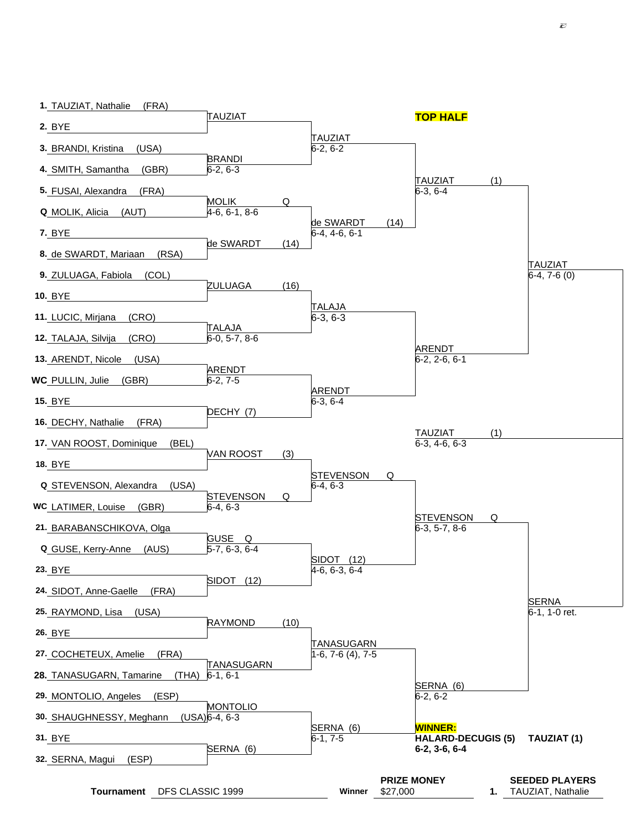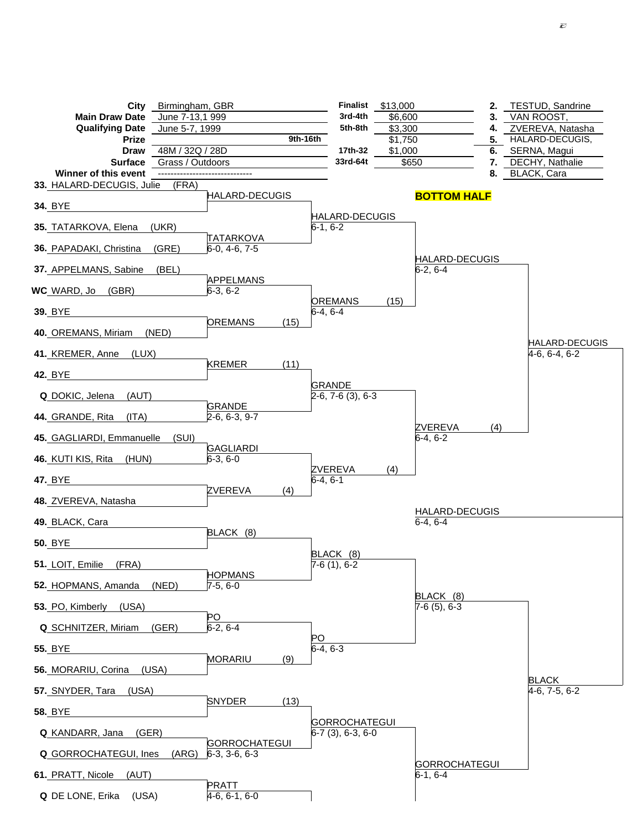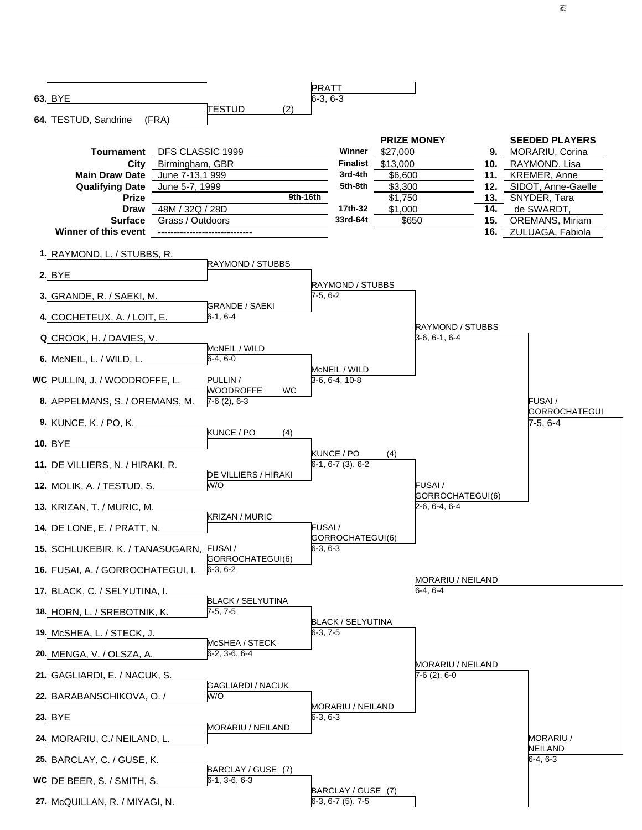